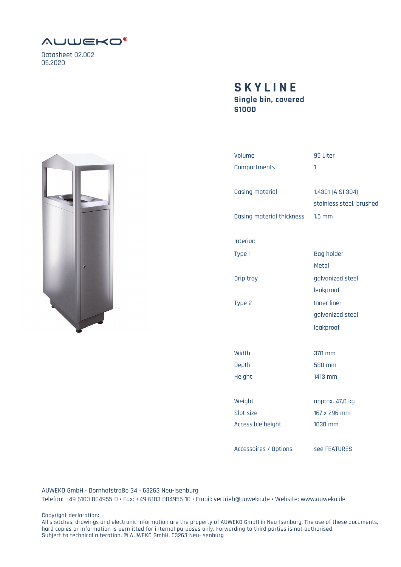

Datasheet 02.002 05.2020

## **Single bin, covered S100D SKYLINE**



AUWEKO GmbH • Dornhofstraße 34 • 63263 Neu-Isenburg Telefon: +49 6103 804955-0 • Fax: +49 6103 804955-10 • Email: vertrieb@auweko.de • Website: www.auweko.de

Copyright declaration:

All sketches, drawings and electronic information are the property of AUWEKO GmbH in Neu-Isenburg. The use of these documents, hard copies or information is permitted for internal purposes only. Forwarding to third parties is not authorised. Subject to technical alteration. © AUWEKO GmbH, 63263 Neu-Isenburg